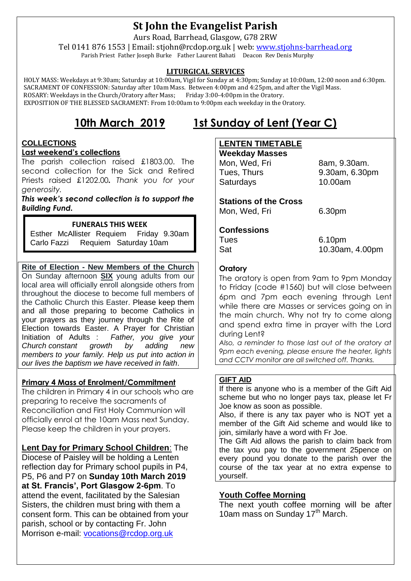# **St John the Evangelist Parish**

Aurs Road, Barrhead, Glasgow, G78 2RW

Tel 0141 876 1553 | Email: stjohn@rcdop.org.uk | web: [www.stjohns-barrhead.org](http://www.stjohns-barrhead.org/) Parish Priest Father Joseph Burke Father Laurent Bahati Deacon Rev Denis Murphy

#### **LITURGICAL SERVICES**

 HOLY MASS: Weekdays at 9:30am; Saturday at 10:00am, Vigil for Sunday at 4:30pm; Sunday at 10:00am, 12:00 noon and 6:30pm. SACRAMENT OF CONFESSION: Saturday after 10am Mass. Between 4:00pm and 4:25pm, and after the Vigil Mass.<br>ROSARY: Weekdays in the Church/Oratory after Mass; Friday 3:00-4:00pm in the Oratory. ROSARY: Weekdays in the Church/Oratory after Mass; EXPOSITION OF THE BLESSED SACRAMENT: From 10:00am to 9:00pm each weekday in the Oratory.

# **10th March 2019 1st Sunday of Lent (Year C)**

## **COLLECTIONS**

#### **Last weekend's collections**

The parish collection raised £1803.00. The second collection for the Sick and Retired Priests raised £1202.00*. Thank you for your generosity.*

*This week's second collection is to support the Building Fund.*

#### **FUNERALS THIS WEEK**

Esther McAllister Requiem Friday 9.30am Carlo Fazzi Requiem Saturday 10am

**Rite of Election - New Members of the Church**  On Sunday afternoon **SIX** young adults from our local area will officially enroll alongside others from throughout the diocese to become full members of the Catholic Church this Easter. Please keep them and all those preparing to become Catholics in your prayers as they journey through the Rite of Election towards Easter. A Prayer for Christian Initiation of Adults : *Father, you give your Church constant growth by adding new members to your family. Help us put into action in our lives the baptism we have received in faith*.

#### **Primary 4 Mass of Enrolment/Commitment**

The children in Primary 4 in our schools who are preparing to receive the sacraments of Reconciliation and First Holy Communion will officially enrol at the 10am Mass next Sunday. Please keep the children in your prayers.

**Lent Day for Primary School Children**: The

Diocese of Paisley will be holding a Lenten reflection day for Primary school pupils in P4, P5, P6 and P7 on **Sunday 10th March 2019 at St. Francis', Port Glasgow 2-6pm**. To attend the event, facilitated by the Salesian Sisters, the children must bring with them a consent form. This can be obtained from your parish, school or by contacting Fr. John Morrison e-mail: [vocations@rcdop.org.uk](mailto:vocations@rcdop.org.uk)

## **LENTEN TIMETABLE**

**Weekday Masses** Mon, Wed, Fri 8am, 9.30am. Tues, Thurs 9.30am, 6.30pm Saturdays 10.00am

**Stations of the Cross** Mon, Wed, Fri 6.30pm

#### **Confessions**

Tues 6.10pm

Sat 10.30am, 4.00pm

#### **Oratory**

The oratory is open from 9am to 9pm Monday to Friday (code #1560) but will close between 6pm and 7pm each evening through Lent while there are Masses or services going on in the main church. Why not try to come along and spend extra time in prayer with the Lord during Lent?

*Also, a reminder to those last out of the oratory at 9pm each evening, please ensure the heater, lights and CCTV monitor are all switched off. Thanks.*

#### **GIFT AID**

If there is anyone who is a member of the Gift Aid scheme but who no longer pays tax, please let Fr Joe know as soon as possible.

Also, if there is any tax payer who is NOT yet a member of the Gift Aid scheme and would like to join, similarly have a word with Fr Joe.

The Gift Aid allows the parish to claim back from the tax you pay to the government 25pence on every pound you donate to the parish over the course of the tax year at no extra expense to yourself.

#### **Youth Coffee Morning**

The next youth coffee morning will be after 10am mass on Sunday 17<sup>th</sup> March.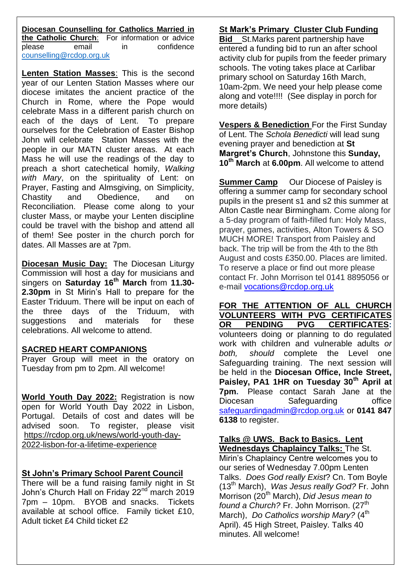**Diocesan Counselling for Catholics Married in the Catholic Church**: For information or advice please email in confidence [counselling@rcdop.org.uk](mailto:counselling@rcdop.org.uk)

**Lenten Station Masses**: This is the second year of our Lenten Station Masses where our diocese imitates the ancient practice of the Church in Rome, where the Pope would celebrate Mass in a different parish church on each of the days of Lent. To prepare ourselves for the Celebration of Easter Bishop John will celebrate Station Masses with the people in our MATN cluster areas. At each Mass he will use the readings of the day to preach a short catechetical homily, *Walking with Mary*, on the spirituality of Lent: on Prayer, Fasting and Almsgiving, on Simplicity, Chastity and Obedience, and on Reconciliation. Please come along to your cluster Mass, or maybe your Lenten discipline could be travel with the bishop and attend all of them! See poster in the church porch for dates. All Masses are at 7pm.

**Diocesan Music Day:** The Diocesan Liturgy Commission will host a day for musicians and singers on **Saturday 16th March** from **11.30- 2.30pm** in St Mirin's Hall to prepare for the Easter Triduum. There will be input on each of the three days of the Triduum, with suggestions and materials for these celebrations. All welcome to attend.

#### **SACRED HEART COMPANIONS**

Prayer Group will meet in the oratory on Tuesday from pm to 2pm. All welcome!

**World Youth Day 2022:** Registration is now open for World Youth Day 2022 in Lisbon, Portugal. Details of cost and dates will be advised soon. To register, please visit [https://rcdop.org.uk/news/world-youth-day-](https://rcdop.org.uk/news/world-youth-day-2022-lisbon-for-a-lifetime-experience)[2022-lisbon-for-a-lifetime-experience](https://rcdop.org.uk/news/world-youth-day-2022-lisbon-for-a-lifetime-experience)

### **St John's Primary School Parent Council**

There will be a fund raising family night in St John's Church Hall on Friday 22<sup>nd march</sup> 2019 7pm – 10pm. BYOB and snacks. Tickets available at school office. Family ticket £10, Adult ticket £4 Child ticket £2

## **St Mark's Primary Cluster Club Funding**

**Bid** St.Marks parent partnership have entered a funding bid to run an after school activity club for pupils from the feeder primary schools. The voting takes place at Carlibar primary school on Saturday 16th March, 10am-2pm. We need your help please come along and vote!!!! (See display in porch for more details)

**Vespers & Benediction** For the First Sunday of Lent. The *Schola Benedicti* will lead sung evening prayer and benediction at **St Margret's Church**, Johnstone this **Sunday, 10th March** at **6.00pm**. All welcome to attend

**Summer Camp** Our Diocese of Paisley is offering a summer camp for secondary school pupils in the present s1 and s2 this summer at Alton Castle near Birmingham. Come along for a 5-day program of faith-filled fun: Holy Mass, prayer, games, activities, Alton Towers & SO MUCH MORE! Transport from Paisley and back. The trip will be from the 4th to the 8th August and costs £350.00. Places are limited. To reserve a place or find out more please contact Fr. John Morrison tel 0141 8895056 or e-mail [vocations@rcdop.org.uk](mailto:vocations@rcdop.org.uk)

**FOR THE ATTENTION OF ALL CHURCH VOLUNTEERS WITH PVG CERTIFICATES OR PENDING PVG CERTIFICATES:** volunteers doing or planning to do regulated work with children and vulnerable adults *or both, should* complete the Level one Safeguarding training. The next session will be held in the **Diocesan Office, Incle Street, Paisley, PA1 1HR on Tuesday 30th April at 7pm.** Please contact Sarah Jane at the Diocesan Safeguarding office [safeguardingadmin@rcdop.org.uk](mailto:safeguardingadmin@rcdop.org.uk) or **0141 847 6138** to register.

# **Talks @ UWS. Back to Basics. Lent**

**Wednesdays Chaplaincy Talks:** The St. Mirin's Chaplaincy Centre welcomes you to our series of Wednesday 7.00pm Lenten Talks. *Does God really Exist*? Cn. Tom Boyle (13th March), *Was Jesus really God?* Fr. John Morrison (20th March), *Did Jesus mean to found a Church?* Fr. John Morrison. (27<sup>th</sup>) March), *Do Catholics worship Mary?* (4<sup>th</sup>) April). 45 High Street, Paisley. Talks 40 minutes. All welcome!